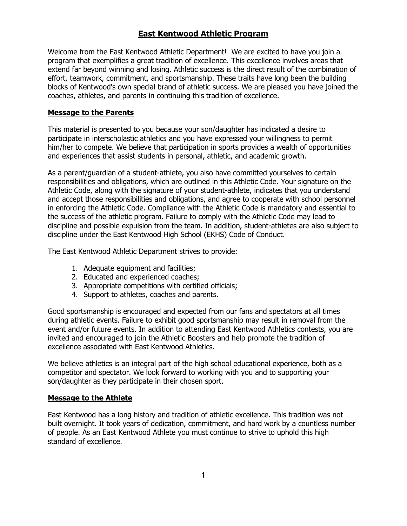# East Kentwood Athletic Program

Welcome from the East Kentwood Athletic Department! We are excited to have you join a program that exemplifies a great tradition of excellence. This excellence involves areas that extend far beyond winning and losing. Athletic success is the direct result of the combination of effort, teamwork, commitment, and sportsmanship. These traits have long been the building blocks of Kentwood's own special brand of athletic success. We are pleased you have joined the coaches, athletes, and parents in continuing this tradition of excellence.

### Message to the Parents

This material is presented to you because your son/daughter has indicated a desire to participate in interscholastic athletics and you have expressed your willingness to permit him/her to compete. We believe that participation in sports provides a wealth of opportunities and experiences that assist students in personal, athletic, and academic growth.

As a parent/guardian of a student-athlete, you also have committed yourselves to certain responsibilities and obligations, which are outlined in this Athletic Code. Your signature on the Athletic Code, along with the signature of your student-athlete, indicates that you understand and accept those responsibilities and obligations, and agree to cooperate with school personnel in enforcing the Athletic Code. Compliance with the Athletic Code is mandatory and essential to the success of the athletic program. Failure to comply with the Athletic Code may lead to discipline and possible expulsion from the team. In addition, student-athletes are also subject to discipline under the East Kentwood High School (EKHS) Code of Conduct.

The East Kentwood Athletic Department strives to provide:

- 1. Adequate equipment and facilities;
- 2. Educated and experienced coaches;
- 3. Appropriate competitions with certified officials;
- 4. Support to athletes, coaches and parents.

Good sportsmanship is encouraged and expected from our fans and spectators at all times during athletic events. Failure to exhibit good sportsmanship may result in removal from the event and/or future events. In addition to attending East Kentwood Athletics contests, you are invited and encouraged to join the Athletic Boosters and help promote the tradition of excellence associated with East Kentwood Athletics.

We believe athletics is an integral part of the high school educational experience, both as a competitor and spectator. We look forward to working with you and to supporting your son/daughter as they participate in their chosen sport.

#### Message to the Athlete

East Kentwood has a long history and tradition of athletic excellence. This tradition was not built overnight. It took years of dedication, commitment, and hard work by a countless number of people. As an East Kentwood Athlete you must continue to strive to uphold this high standard of excellence.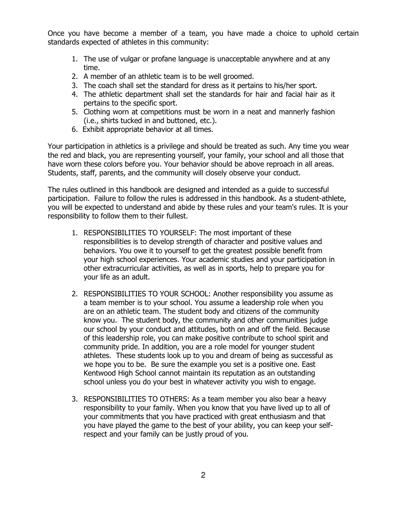Once you have become a member of a team, you have made a choice to uphold certain standards expected of athletes in this community:

- 1. The use of vulgar or profane language is unacceptable anywhere and at any time.
- 2. A member of an athletic team is to be well groomed.
- 3. The coach shall set the standard for dress as it pertains to his/her sport.
- 4. The athletic department shall set the standards for hair and facial hair as it pertains to the specific sport.
- 5. Clothing worn at competitions must be worn in a neat and mannerly fashion (i.e., shirts tucked in and buttoned, etc.).
- 6. Exhibit appropriate behavior at all times.

Your participation in athletics is a privilege and should be treated as such. Any time you wear the red and black, you are representing yourself, your family, your school and all those that have worn these colors before you. Your behavior should be above reproach in all areas. Students, staff, parents, and the community will closely observe your conduct.

The rules outlined in this handbook are designed and intended as a guide to successful participation. Failure to follow the rules is addressed in this handbook. As a student-athlete, you will be expected to understand and abide by these rules and your team's rules. It is your responsibility to follow them to their fullest.

- 1. RESPONSIBILITIES TO YOURSELF: The most important of these responsibilities is to develop strength of character and positive values and behaviors. You owe it to yourself to get the greatest possible benefit from your high school experiences. Your academic studies and your participation in other extracurricular activities, as well as in sports, help to prepare you for your life as an adult.
- 2. RESPONSIBILITIES TO YOUR SCHOOL: Another responsibility you assume as a team member is to your school. You assume a leadership role when you are on an athletic team. The student body and citizens of the community know you. The student body, the community and other communities judge our school by your conduct and attitudes, both on and off the field. Because of this leadership role, you can make positive contribute to school spirit and community pride. In addition, you are a role model for younger student athletes. These students look up to you and dream of being as successful as we hope you to be. Be sure the example you set is a positive one. East Kentwood High School cannot maintain its reputation as an outstanding school unless you do your best in whatever activity you wish to engage.
- 3. RESPONSIBILITIES TO OTHERS: As a team member you also bear a heavy responsibility to your family. When you know that you have lived up to all of your commitments that you have practiced with great enthusiasm and that you have played the game to the best of your ability, you can keep your selfrespect and your family can be justly proud of you.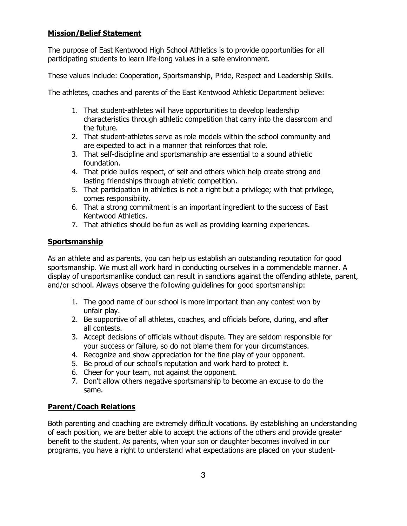# Mission/Belief Statement

The purpose of East Kentwood High School Athletics is to provide opportunities for all participating students to learn life-long values in a safe environment.

These values include: Cooperation, Sportsmanship, Pride, Respect and Leadership Skills.

The athletes, coaches and parents of the East Kentwood Athletic Department believe:

- 1. That student-athletes will have opportunities to develop leadership characteristics through athletic competition that carry into the classroom and the future.
- 2. That student-athletes serve as role models within the school community and are expected to act in a manner that reinforces that role.
- 3. That self-discipline and sportsmanship are essential to a sound athletic foundation.
- 4. That pride builds respect, of self and others which help create strong and lasting friendships through athletic competition.
- 5. That participation in athletics is not a right but a privilege; with that privilege, comes responsibility.
- 6. That a strong commitment is an important ingredient to the success of East Kentwood Athletics.
- 7. That athletics should be fun as well as providing learning experiences.

# **Sportsmanship**

As an athlete and as parents, you can help us establish an outstanding reputation for good sportsmanship. We must all work hard in conducting ourselves in a commendable manner. A display of unsportsmanlike conduct can result in sanctions against the offending athlete, parent, and/or school. Always observe the following guidelines for good sportsmanship:

- 1. The good name of our school is more important than any contest won by unfair play.
- 2. Be supportive of all athletes, coaches, and officials before, during, and after all contests.
- 3. Accept decisions of officials without dispute. They are seldom responsible for your success or failure, so do not blame them for your circumstances.
- 4. Recognize and show appreciation for the fine play of your opponent.
- 5. Be proud of our school's reputation and work hard to protect it.
- 6. Cheer for your team, not against the opponent.
- 7. Don't allow others negative sportsmanship to become an excuse to do the same.

# Parent/Coach Relations

Both parenting and coaching are extremely difficult vocations. By establishing an understanding of each position, we are better able to accept the actions of the others and provide greater benefit to the student. As parents, when your son or daughter becomes involved in our programs, you have a right to understand what expectations are placed on your student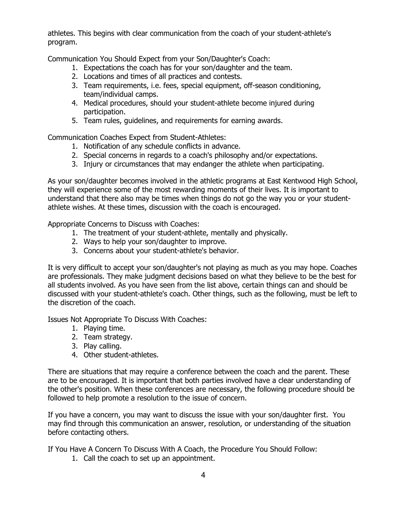athletes. This begins with clear communication from the coach of your student-athlete's program.

Communication You Should Expect from your Son/Daughter's Coach:

- 1. Expectations the coach has for your son/daughter and the team.
- 2. Locations and times of all practices and contests.
- 3. Team requirements, i.e. fees, special equipment, off-season conditioning, team/individual camps.
- 4. Medical procedures, should your student-athlete become injured during participation.
- 5. Team rules, guidelines, and requirements for earning awards.

Communication Coaches Expect from Student-Athletes:

- 1. Notification of any schedule conflicts in advance.
- 2. Special concerns in regards to a coach's philosophy and/or expectations.
- 3. Injury or circumstances that may endanger the athlete when participating.

As your son/daughter becomes involved in the athletic programs at East Kentwood High School, they will experience some of the most rewarding moments of their lives. It is important to understand that there also may be times when things do not go the way you or your studentathlete wishes. At these times, discussion with the coach is encouraged.

Appropriate Concerns to Discuss with Coaches:

- 1. The treatment of your student-athlete, mentally and physically.
- 2. Ways to help your son/daughter to improve.
- 3. Concerns about your student-athlete's behavior.

It is very difficult to accept your son/daughter's not playing as much as you may hope. Coaches are professionals. They make judgment decisions based on what they believe to be the best for all students involved. As you have seen from the list above, certain things can and should be discussed with your student-athlete's coach. Other things, such as the following, must be left to the discretion of the coach.

Issues Not Appropriate To Discuss With Coaches:

- 1. Playing time.
- 2. Team strategy.
- 3. Play calling.
- 4. Other student-athletes.

There are situations that may require a conference between the coach and the parent. These are to be encouraged. It is important that both parties involved have a clear understanding of the other's position. When these conferences are necessary, the following procedure should be followed to help promote a resolution to the issue of concern.

If you have a concern, you may want to discuss the issue with your son/daughter first. You may find through this communication an answer, resolution, or understanding of the situation before contacting others.

If You Have A Concern To Discuss With A Coach, the Procedure You Should Follow:

1. Call the coach to set up an appointment.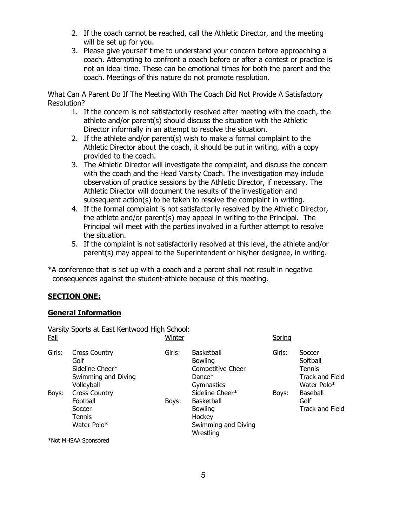- 2. If the coach cannot be reached, call the Athletic Director, and the meeting will be set up for you.
- 3. Please give yourself time to understand your concern before approaching a coach. Attempting to confront a coach before or after a contest or practice is not an ideal time. These can be emotional times for both the parent and the coach. Meetings of this nature do not promote resolution.

What Can A Parent Do If The Meeting With The Coach Did Not Provide A Satisfactory Resolution?

- 1. If the concern is not satisfactorily resolved after meeting with the coach, the athlete and/or parent(s) should discuss the situation with the Athletic Director informally in an attempt to resolve the situation.
- 2. If the athlete and/or parent(s) wish to make a formal complaint to the Athletic Director about the coach, it should be put in writing, with a copy provided to the coach.
- 3. The Athletic Director will investigate the complaint, and discuss the concern with the coach and the Head Varsity Coach. The investigation may include observation of practice sessions by the Athletic Director, if necessary. The Athletic Director will document the results of the investigation and subsequent action(s) to be taken to resolve the complaint in writing.
- 4. If the formal complaint is not satisfactorily resolved by the Athletic Director, the athlete and/or parent(s) may appeal in writing to the Principal. The Principal will meet with the parties involved in a further attempt to resolve the situation.
- 5. If the complaint is not satisfactorily resolved at this level, the athlete and/or parent(s) may appeal to the Superintendent or his/her designee, in writing.

\*A conference that is set up with a coach and a parent shall not result in negative consequences against the student-athlete because of this meeting.

## SECTION ONE:

## General Information

Varsity Sports at East Kentwood High School: <u>Fall</u> Spring Spring Spring Spring Spring Spring Spring Spring Spring Spring Spring Spring Spring Spring Spring

| Girls: | <b>Cross Country</b><br>Golf<br>Sideline Cheer*<br>Swimming and Diving<br>Volleyball | Girls: | <b>Basketball</b><br><b>Bowling</b><br>Competitive Cheer<br>Dance $*$<br>Gymnastics                  | Girls: | Soccer<br>Softball<br><b>Tennis</b><br>Track and Field<br>Water Polo* |
|--------|--------------------------------------------------------------------------------------|--------|------------------------------------------------------------------------------------------------------|--------|-----------------------------------------------------------------------|
| Boys:  | <b>Cross Country</b><br>Football<br>Boys:<br>Soccer<br><b>Tennis</b><br>Water Polo*  |        | Sideline Cheer*<br><b>Basketball</b><br><b>Bowling</b><br>Hockey<br>Swimming and Diving<br>Wrestling | Boys:  | Baseball<br>Golf<br><b>Track and Field</b>                            |

\*Not MHSAA Sponsored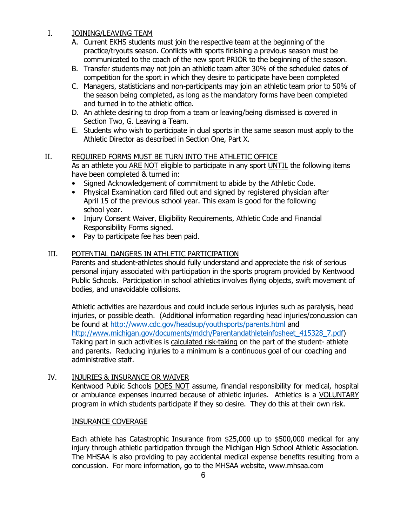# I. JOINING/LEAVING TEAM

- A. Current EKHS students must join the respective team at the beginning of the practice/tryouts season. Conflicts with sports finishing a previous season must be communicated to the coach of the new sport PRIOR to the beginning of the season.
- B. Transfer students may not join an athletic team after 30% of the scheduled dates of competition for the sport in which they desire to participate have been completed
- C. Managers, statisticians and non-participants may join an athletic team prior to 50% of the season being completed, as long as the mandatory forms have been completed and turned in to the athletic office.
- D. An athlete desiring to drop from a team or leaving/being dismissed is covered in Section Two, G. Leaving a Team.
- E. Students who wish to participate in dual sports in the same season must apply to the Athletic Director as described in Section One, Part X.

## II. REQUIRED FORMS MUST BE TURN INTO THE ATHLETIC OFFICE

As an athlete you ARE NOT eligible to participate in any sport UNTIL the following items have been completed & turned in:

- Signed Acknowledgement of commitment to abide by the Athletic Code.
- Physical Examination card filled out and signed by registered physician after April 15 of the previous school year. This exam is good for the following school year.
- Injury Consent Waiver, Eligibility Requirements, Athletic Code and Financial Responsibility Forms signed.
- Pay to participate fee has been paid.

# III. POTENTIAL DANGERS IN ATHLETIC PARTICIPATION

Parents and student-athletes should fully understand and appreciate the risk of serious personal injury associated with participation in the sports program provided by Kentwood Public Schools. Participation in school athletics involves flying objects, swift movement of bodies, and unavoidable collisions.

Athletic activities are hazardous and could include serious injuries such as paralysis, head injuries, or possible death. (Additional information regarding head injuries/concussion can be found at http://www.cdc.gov/headsup/youthsports/parents.html and http://www.michigan.gov/documents/mdch/Parentandathleteinfosheet\_415328\_7.pdf) Taking part in such activities is calculated risk-taking on the part of the student- athlete and parents. Reducing injuries to a minimum is a continuous goal of our coaching and administrative staff.

## IV. INJURIES & INSURANCE OR WAIVER

Kentwood Public Schools DOES NOT assume, financial responsibility for medical, hospital or ambulance expenses incurred because of athletic injuries. Athletics is a VOLUNTARY program in which students participate if they so desire. They do this at their own risk.

## INSURANCE COVERAGE

Each athlete has Catastrophic Insurance from \$25,000 up to \$500,000 medical for any injury through athletic participation through the Michigan High School Athletic Association. The MHSAA is also providing to pay accidental medical expense benefits resulting from a concussion. For more information, go to the MHSAA website, www.mhsaa.com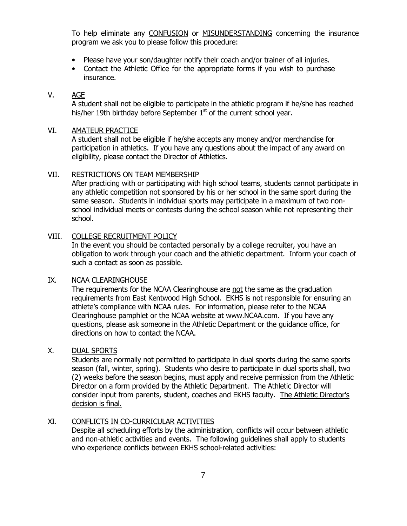To help eliminate any CONFUSION or MISUNDERSTANDING concerning the insurance program we ask you to please follow this procedure:

- Please have your son/daughter notify their coach and/or trainer of all injuries.
- Contact the Athletic Office for the appropriate forms if you wish to purchase insurance.

#### V. AGE

A student shall not be eligible to participate in the athletic program if he/she has reached his/her 19th birthday before September  $1<sup>st</sup>$  of the current school year.

#### VI. AMATEUR PRACTICE

A student shall not be eligible if he/she accepts any money and/or merchandise for participation in athletics. If you have any questions about the impact of any award on eligibility, please contact the Director of Athletics.

#### VII. RESTRICTIONS ON TEAM MEMBERSHIP

After practicing with or participating with high school teams, students cannot participate in any athletic competition not sponsored by his or her school in the same sport during the same season. Students in individual sports may participate in a maximum of two nonschool individual meets or contests during the school season while not representing their school.

#### VIII. COLLEGE RECRUITMENT POLICY

In the event you should be contacted personally by a college recruiter, you have an obligation to work through your coach and the athletic department. Inform your coach of such a contact as soon as possible.

#### IX. NCAA CLEARINGHOUSE

The requirements for the NCAA Clearinghouse are not the same as the graduation requirements from East Kentwood High School. EKHS is not responsible for ensuring an athlete's compliance with NCAA rules. For information, please refer to the NCAA Clearinghouse pamphlet or the NCAA website at www.NCAA.com. If you have any questions, please ask someone in the Athletic Department or the guidance office, for directions on how to contact the NCAA.

## X. DUAL SPORTS

Students are normally not permitted to participate in dual sports during the same sports season (fall, winter, spring). Students who desire to participate in dual sports shall, two (2) weeks before the season begins, must apply and receive permission from the Athletic Director on a form provided by the Athletic Department. The Athletic Director will consider input from parents, student, coaches and EKHS faculty. The Athletic Director's decision is final.

## XI. CONFLICTS IN CO-CURRICULAR ACTIVITIES

Despite all scheduling efforts by the administration, conflicts will occur between athletic and non-athletic activities and events. The following guidelines shall apply to students who experience conflicts between EKHS school-related activities: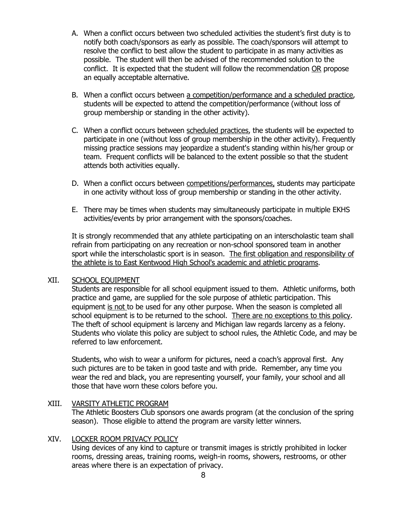- A. When a conflict occurs between two scheduled activities the student's first duty is to notify both coach/sponsors as early as possible. The coach/sponsors will attempt to resolve the conflict to best allow the student to participate in as many activities as possible. The student will then be advised of the recommended solution to the conflict. It is expected that the student will follow the recommendation OR propose an equally acceptable alternative.
- B. When a conflict occurs between a competition/performance and a scheduled practice, students will be expected to attend the competition/performance (without loss of group membership or standing in the other activity).
- C. When a conflict occurs between scheduled practices, the students will be expected to participate in one (without loss of group membership in the other activity). Frequently missing practice sessions may jeopardize a student's standing within his/her group or team. Frequent conflicts will be balanced to the extent possible so that the student attends both activities equally.
- D. When a conflict occurs between competitions/performances, students may participate in one activity without loss of group membership or standing in the other activity.
- E. There may be times when students may simultaneously participate in multiple EKHS activities/events by prior arrangement with the sponsors/coaches.

It is strongly recommended that any athlete participating on an interscholastic team shall refrain from participating on any recreation or non-school sponsored team in another sport while the interscholastic sport is in season. The first obligation and responsibility of the athlete is to East Kentwood High School's academic and athletic programs.

#### XII. SCHOOL EQUIPMENT

Students are responsible for all school equipment issued to them. Athletic uniforms, both practice and game, are supplied for the sole purpose of athletic participation. This equipment is not to be used for any other purpose. When the season is completed all school equipment is to be returned to the school. There are no exceptions to this policy. The theft of school equipment is larceny and Michigan law regards larceny as a felony. Students who violate this policy are subject to school rules, the Athletic Code, and may be referred to law enforcement.

Students, who wish to wear a uniform for pictures, need a coach's approval first. Any such pictures are to be taken in good taste and with pride. Remember, any time you wear the red and black, you are representing yourself, your family, your school and all those that have worn these colors before you.

### XIII. VARSITY ATHLETIC PROGRAM The Athletic Boosters Club sponsors one awards program (at the conclusion of the spring season). Those eligible to attend the program are varsity letter winners.

#### XIV. LOCKER ROOM PRIVACY POLICY

 Using devices of any kind to capture or transmit images is strictly prohibited in locker rooms, dressing areas, training rooms, weigh-in rooms, showers, restrooms, or other areas where there is an expectation of privacy.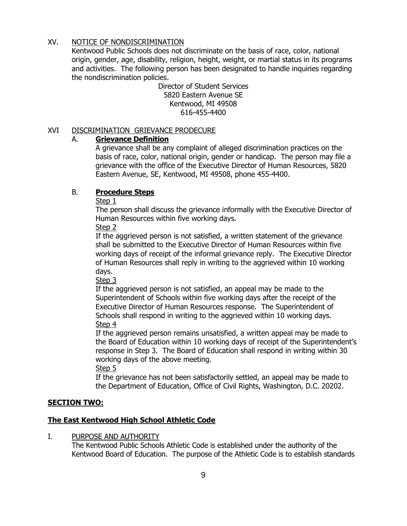## XV. NOTICE OF NONDISCRIMINATION

Kentwood Public Schools does not discriminate on the basis of race, color, national origin, gender, age, disability, religion, height, weight, or martial status in its programs and activities. The following person has been designated to handle inquiries regarding the nondiscrimination policies.

Director of Student Services 5820 Eastern Avenue SE Kentwood, MI 49508 616-455-4400

## XVI DISCRIMINATION GRIEVANCE PRODECURE

# A. Grievance Definition

A grievance shall be any complaint of alleged discrimination practices on the basis of race, color, national origin, gender or handicap. The person may file a grievance with the office of the Executive Director of Human Resources, 5820 Eastern Avenue, SE, Kentwood, MI 49508, phone 455-4400.

# B. Procedure Steps

Step 1

The person shall discuss the grievance informally with the Executive Director of Human Resources within five working days.

## Step 2

If the aggrieved person is not satisfied, a written statement of the grievance shall be submitted to the Executive Director of Human Resources within five working days of receipt of the informal grievance reply. The Executive Director of Human Resources shall reply in writing to the aggrieved within 10 working days.

Step 3

If the aggrieved person is not satisfied, an appeal may be made to the Superintendent of Schools within five working days after the receipt of the Executive Director of Human Resources response. The Superintendent of Schools shall respond in writing to the aggrieved within 10 working days. Step 4

If the aggrieved person remains unsatisfied, a written appeal may be made to the Board of Education within 10 working days of receipt of the Superintendent's response in Step 3. The Board of Education shall respond in writing within 30 working days of the above meeting.

Step 5

If the grievance has not been satisfactorily settled, an appeal may be made to the Department of Education, Office of Civil Rights, Washington, D.C. 20202.

# SECTION TWO:

# The East Kentwood High School Athletic Code

I. PURPOSE AND AUTHORITY

The Kentwood Public Schools Athletic Code is established under the authority of the Kentwood Board of Education. The purpose of the Athletic Code is to establish standards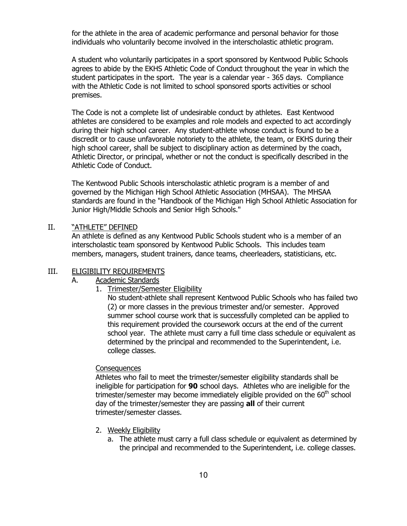for the athlete in the area of academic performance and personal behavior for those individuals who voluntarily become involved in the interscholastic athletic program.

A student who voluntarily participates in a sport sponsored by Kentwood Public Schools agrees to abide by the EKHS Athletic Code of Conduct throughout the year in which the student participates in the sport. The year is a calendar year - 365 days. Compliance with the Athletic Code is not limited to school sponsored sports activities or school premises.

The Code is not a complete list of undesirable conduct by athletes. East Kentwood athletes are considered to be examples and role models and expected to act accordingly during their high school career. Any student-athlete whose conduct is found to be a discredit or to cause unfavorable notoriety to the athlete, the team, or EKHS during their high school career, shall be subject to disciplinary action as determined by the coach, Athletic Director, or principal, whether or not the conduct is specifically described in the Athletic Code of Conduct.

The Kentwood Public Schools interscholastic athletic program is a member of and governed by the Michigan High School Athletic Association (MHSAA). The MHSAA standards are found in the "Handbook of the Michigan High School Athletic Association for Junior High/Middle Schools and Senior High Schools."

#### II. "ATHLETE" DEFINED

 An athlete is defined as any Kentwood Public Schools student who is a member of an interscholastic team sponsored by Kentwood Public Schools. This includes team members, managers, student trainers, dance teams, cheerleaders, statisticians, etc.

#### III. ELIGIBILITY REQUIREMENTS

### A. Academic Standards

1. Trimester/Semester Eligibility

No student-athlete shall represent Kentwood Public Schools who has failed two (2) or more classes in the previous trimester and/or semester. Approved summer school course work that is successfully completed can be applied to this requirement provided the coursework occurs at the end of the current school year. The athlete must carry a full time class schedule or equivalent as determined by the principal and recommended to the Superintendent, i.e. college classes.

#### **Consequences**

Athletes who fail to meet the trimester/semester eligibility standards shall be ineligible for participation for 90 school days. Athletes who are ineligible for the trimester/semester may become immediately eligible provided on the  $60<sup>th</sup>$  school day of the trimester/semester they are passing **all** of their current trimester/semester classes.

- 2. Weekly Eligibility
	- a. The athlete must carry a full class schedule or equivalent as determined by the principal and recommended to the Superintendent, i.e. college classes.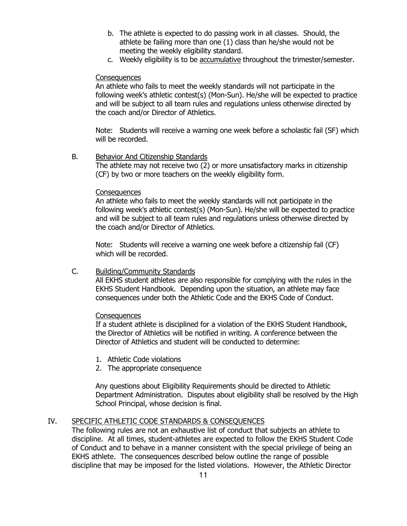- b. The athlete is expected to do passing work in all classes. Should, the athlete be failing more than one (1) class than he/she would not be meeting the weekly eligibility standard.
- c. Weekly eligibility is to be accumulative throughout the trimester/semester.

#### **Consequences**

An athlete who fails to meet the weekly standards will not participate in the following week's athletic contest(s) (Mon-Sun). He/she will be expected to practice and will be subject to all team rules and regulations unless otherwise directed by the coach and/or Director of Athletics.

Note: Students will receive a warning one week before a scholastic fail (SF) which will be recorded.

B. Behavior And Citizenship Standards The athlete may not receive two (2) or more unsatisfactory marks in citizenship (CF) by two or more teachers on the weekly eligibility form.

#### **Consequences**

An athlete who fails to meet the weekly standards will not participate in the following week's athletic contest(s) (Mon-Sun). He/she will be expected to practice and will be subject to all team rules and regulations unless otherwise directed by the coach and/or Director of Athletics.

Note: Students will receive a warning one week before a citizenship fail (CF) which will be recorded.

## C. Building/Community Standards

All EKHS student athletes are also responsible for complying with the rules in the EKHS Student Handbook. Depending upon the situation, an athlete may face consequences under both the Athletic Code and the EKHS Code of Conduct.

## **Consequences**

If a student athlete is disciplined for a violation of the EKHS Student Handbook, the Director of Athletics will be notified in writing. A conference between the Director of Athletics and student will be conducted to determine:

- 1. Athletic Code violations
- 2. The appropriate consequence

Any questions about Eligibility Requirements should be directed to Athletic Department Administration. Disputes about eligibility shall be resolved by the High School Principal, whose decision is final.

## IV. SPECIFIC ATHLETIC CODE STANDARDS & CONSEQUENCES

The following rules are not an exhaustive list of conduct that subjects an athlete to discipline. At all times, student-athletes are expected to follow the EKHS Student Code of Conduct and to behave in a manner consistent with the special privilege of being an EKHS athlete. The consequences described below outline the range of possible discipline that may be imposed for the listed violations. However, the Athletic Director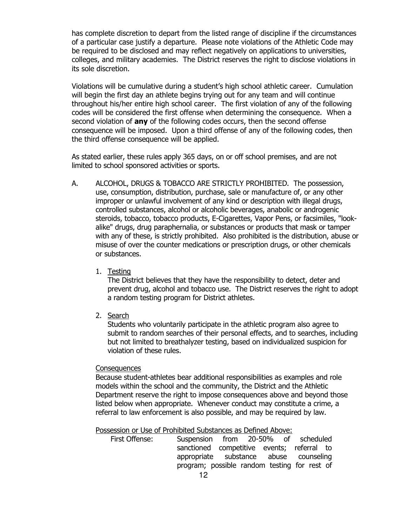has complete discretion to depart from the listed range of discipline if the circumstances of a particular case justify a departure. Please note violations of the Athletic Code may be required to be disclosed and may reflect negatively on applications to universities, colleges, and military academies. The District reserves the right to disclose violations in its sole discretion.

Violations will be cumulative during a student's high school athletic career. Cumulation will begin the first day an athlete begins trying out for any team and will continue throughout his/her entire high school career. The first violation of any of the following codes will be considered the first offense when determining the consequence. When a second violation of **any** of the following codes occurs, then the second offense consequence will be imposed. Upon a third offense of any of the following codes, then the third offense consequence will be applied.

As stated earlier, these rules apply 365 days, on or off school premises, and are not limited to school sponsored activities or sports.

- A. ALCOHOL, DRUGS & TOBACCO ARE STRICTLY PROHIBITED. The possession, use, consumption, distribution, purchase, sale or manufacture of, or any other improper or unlawful involvement of any kind or description with illegal drugs, controlled substances, alcohol or alcoholic beverages, anabolic or androgenic steroids, tobacco, tobacco products, E-Cigarettes, Vapor Pens, or facsimiles, "lookalike" drugs, drug paraphernalia, or substances or products that mask or tamper with any of these, is strictly prohibited. Also prohibited is the distribution, abuse or misuse of over the counter medications or prescription drugs, or other chemicals or substances.
	- 1. Testing

The District believes that they have the responsibility to detect, deter and prevent drug, alcohol and tobacco use. The District reserves the right to adopt a random testing program for District athletes.

2. Search

Students who voluntarily participate in the athletic program also agree to submit to random searches of their personal effects, and to searches, including but not limited to breathalyzer testing, based on individualized suspicion for violation of these rules.

#### **Consequences**

Because student-athletes bear additional responsibilities as examples and role models within the school and the community, the District and the Athletic Department reserve the right to impose consequences above and beyond those listed below when appropriate. Whenever conduct may constitute a crime, a referral to law enforcement is also possible, and may be required by law.

Possession or Use of Prohibited Substances as Defined Above:

| First Offense: | Suspension from 20-50% of scheduled          |  |  |  |
|----------------|----------------------------------------------|--|--|--|
|                | sanctioned competitive events; referral to   |  |  |  |
|                | appropriate substance abuse counseling       |  |  |  |
|                | program; possible random testing for rest of |  |  |  |
|                |                                              |  |  |  |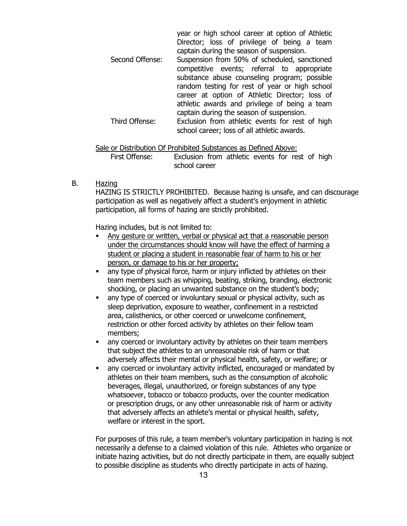|                 | year or high school career at option of Athletic |
|-----------------|--------------------------------------------------|
|                 | Director; loss of privilege of being a team      |
|                 | captain during the season of suspension.         |
| Second Offense: | Suspension from 50% of scheduled, sanctioned     |
|                 | competitive events; referral to appropriate      |
|                 | substance abuse counseling program; possible     |
|                 | random testing for rest of year or high school   |
|                 | career at option of Athletic Director; loss of   |
|                 | athletic awards and privilege of being a team    |
|                 | captain during the season of suspension.         |
| Third Offense:  | Exclusion from athletic events for rest of high  |
|                 | school career; loss of all athletic awards.      |

#### Sale or Distribution Of Prohibited Substances as Defined Above:

First Offense: Exclusion from athletic events for rest of high school career

#### B. Hazing

HAZING IS STRICTLY PROHIBITED. Because hazing is unsafe, and can discourage participation as well as negatively affect a student's enjoyment in athletic participation, all forms of hazing are strictly prohibited.

Hazing includes, but is not limited to:

- Any gesture or written, verbal or physical act that a reasonable person under the circumstances should know will have the effect of harming a student or placing a student in reasonable fear of harm to his or her person, or damage to his or her property;
- any type of physical force, harm or injury inflicted by athletes on their team members such as whipping, beating, striking, branding, electronic shocking, or placing an unwanted substance on the student's body;
- any type of coerced or involuntary sexual or physical activity, such as sleep deprivation, exposure to weather, confinement in a restricted area, calisthenics, or other coerced or unwelcome confinement, restriction or other forced activity by athletes on their fellow team members;
- any coerced or involuntary activity by athletes on their team members that subject the athletes to an unreasonable risk of harm or that adversely affects their mental or physical health, safety, or welfare; or
- any coerced or involuntary activity inflicted, encouraged or mandated by athletes on their team members, such as the consumption of alcoholic beverages, illegal, unauthorized, or foreign substances of any type whatsoever, tobacco or tobacco products, over the counter medication or prescription drugs, or any other unreasonable risk of harm or activity that adversely affects an athlete's mental or physical health, safety, welfare or interest in the sport.

For purposes of this rule, a team member's voluntary participation in hazing is not necessarily a defense to a claimed violation of this rule. Athletes who organize or initiate hazing activities, but do not directly participate in them, are equally subject to possible discipline as students who directly participate in acts of hazing.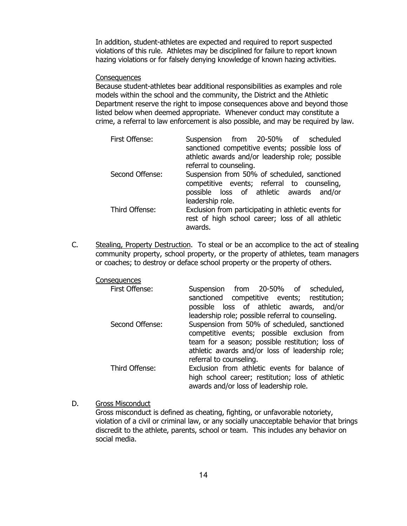In addition, student-athletes are expected and required to report suspected violations of this rule. Athletes may be disciplined for failure to report known hazing violations or for falsely denying knowledge of known hazing activities.

#### **Consequences**

Because student-athletes bear additional responsibilities as examples and role models within the school and the community, the District and the Athletic Department reserve the right to impose consequences above and beyond those listed below when deemed appropriate. Whenever conduct may constitute a crime, a referral to law enforcement is also possible, and may be required by law.

| First Offense:  | Suspension from 20-50% of scheduled                 |  |  |
|-----------------|-----------------------------------------------------|--|--|
|                 | sanctioned competitive events; possible loss of     |  |  |
|                 | athletic awards and/or leadership role; possible    |  |  |
|                 | referral to counseling.                             |  |  |
| Second Offense: | Suspension from 50% of scheduled, sanctioned        |  |  |
|                 | competitive events; referral to counseling,         |  |  |
|                 | possible loss of athletic awards and/or             |  |  |
|                 | leadership role.                                    |  |  |
| Third Offense:  | Exclusion from participating in athletic events for |  |  |
|                 | rest of high school career; loss of all athletic    |  |  |
|                 | awards.                                             |  |  |

C. Stealing, Property Destruction. To steal or be an accomplice to the act of stealing community property, school property, or the property of athletes, team managers or coaches; to destroy or deface school property or the property of others.

**Consequences** 

| First Offense:  | Suspension from 20-50% of scheduled,<br>sanctioned competitive events; restitution;<br>possible loss of athletic awards, and/or                                                                                            |
|-----------------|----------------------------------------------------------------------------------------------------------------------------------------------------------------------------------------------------------------------------|
| Second Offense: | leadership role; possible referral to counseling.<br>Suspension from 50% of scheduled, sanctioned<br>competitive events; possible exclusion from<br>team for a season; possible restitution; loss of                       |
| Third Offense:  | athletic awards and/or loss of leadership role;<br>referral to counseling.<br>Exclusion from athletic events for balance of<br>high school career; restitution; loss of athletic<br>awards and/or loss of leadership role. |

D. Gross Misconduct

Gross misconduct is defined as cheating, fighting, or unfavorable notoriety, violation of a civil or criminal law, or any socially unacceptable behavior that brings discredit to the athlete, parents, school or team. This includes any behavior on social media.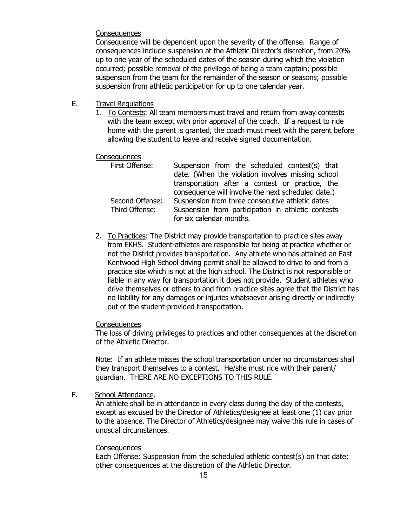#### **Consequences**

Consequence will be dependent upon the severity of the offense. Range of consequences include suspension at the Athletic Director's discretion, from 20% up to one year of the scheduled dates of the season during which the violation occurred; possible removal of the privilege of being a team captain; possible suspension from the team for the remainder of the season or seasons; possible suspension from athletic participation for up to one calendar year.

- E. Travel Regulations
	- 1. To Contests: All team members must travel and return from away contests with the team except with prior approval of the coach. If a request to ride home with the parent is granted, the coach must meet with the parent before allowing the student to leave and receive signed documentation.

#### **Consequences**

| First Offense:  | Suspension from the scheduled contest(s) that      |
|-----------------|----------------------------------------------------|
|                 | date. (When the violation involves missing school  |
|                 | transportation after a contest or practice, the    |
|                 | consequence will involve the next scheduled date.) |
| Second Offense: | Suspension from three consecutive athletic dates   |
| Third Offense:  | Suspension from participation in athletic contests |
|                 | for six calendar months.                           |

2. To Practices: The District may provide transportation to practice sites away from EKHS. Student-athletes are responsible for being at practice whether or not the District provides transportation. Any athlete who has attained an East Kentwood High School driving permit shall be allowed to drive to and from a practice site which is not at the high school. The District is not responsible or liable in any way for transportation it does not provide. Student athletes who drive themselves or others to and from practice sites agree that the District has no liability for any damages or injuries whatsoever arising directly or indirectly out of the student-provided transportation.

#### **Consequences**

The loss of driving privileges to practices and other consequences at the discretion of the Athletic Director.

Note: If an athlete misses the school transportation under no circumstances shall they transport themselves to a contest. He/she must ride with their parent/ guardian. THERE ARE NO EXCEPTIONS TO THIS RULE.

F. School Attendance.

An athlete shall be in attendance in every class during the day of the contests, except as excused by the Director of Athletics/designee at least one (1) day prior to the absence. The Director of Athletics/designee may waive this rule in cases of unusual circumstances.

#### **Consequences**

 Each Offense: Suspension from the scheduled athletic contest(s) on that date; other consequences at the discretion of the Athletic Director.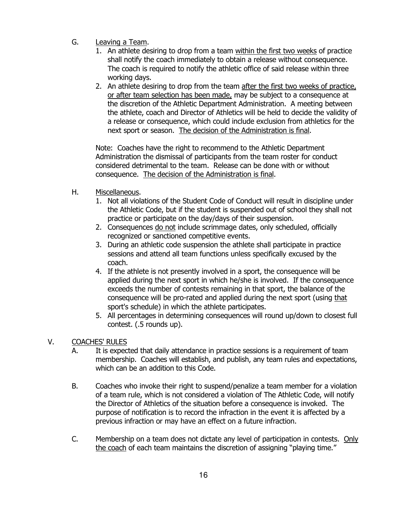- G. Leaving a Team.
	- 1. An athlete desiring to drop from a team within the first two weeks of practice shall notify the coach immediately to obtain a release without consequence. The coach is required to notify the athletic office of said release within three working days.
	- 2. An athlete desiring to drop from the team after the first two weeks of practice, or after team selection has been made, may be subject to a consequence at the discretion of the Athletic Department Administration. A meeting between the athlete, coach and Director of Athletics will be held to decide the validity of a release or consequence, which could include exclusion from athletics for the next sport or season. The decision of the Administration is final.

Note: Coaches have the right to recommend to the Athletic Department Administration the dismissal of participants from the team roster for conduct considered detrimental to the team. Release can be done with or without consequence. The decision of the Administration is final.

- H. Miscellaneous.
	- 1. Not all violations of the Student Code of Conduct will result in discipline under the Athletic Code, but if the student is suspended out of school they shall not practice or participate on the day/days of their suspension.
	- 2. Consequences do not include scrimmage dates, only scheduled, officially recognized or sanctioned competitive events.
	- 3. During an athletic code suspension the athlete shall participate in practice sessions and attend all team functions unless specifically excused by the coach.
	- 4. If the athlete is not presently involved in a sport, the consequence will be applied during the next sport in which he/she is involved. If the consequence exceeds the number of contests remaining in that sport, the balance of the consequence will be pro-rated and applied during the next sport (using that sport's schedule) in which the athlete participates.
	- 5. All percentages in determining consequences will round up/down to closest full contest. (.5 rounds up).
- V. COACHES' RULES
	- A. It is expected that daily attendance in practice sessions is a requirement of team membership. Coaches will establish, and publish, any team rules and expectations, which can be an addition to this Code.
	- B. Coaches who invoke their right to suspend/penalize a team member for a violation of a team rule, which is not considered a violation of The Athletic Code, will notify the Director of Athletics of the situation before a consequence is invoked. The purpose of notification is to record the infraction in the event it is affected by a previous infraction or may have an effect on a future infraction.
	- C. Membership on a team does not dictate any level of participation in contests. Only the coach of each team maintains the discretion of assigning "playing time."